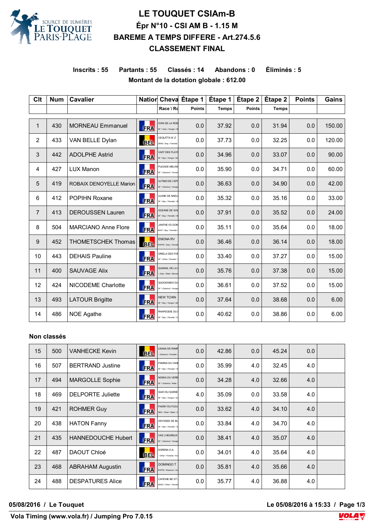

# **LE TOUQUET CSIAm-B Épr N°10 - CSI AM B - 1.15 M BAREME A TEMPS DIFFERE - Art.274.5.6 CLASSEMENT FINAL**

**Inscrits : 55 Partants : 55 Classés : 14 Abandons : 0 Éliminés : 5 Montant de la dotation globale : 612.00**

| <b>Clt</b>     | <b>Num</b> | <b>Cavalier</b>            |            |                                                | Natior Cheva Étape 1 | Étape 1      | Étape 2       | Étape 2      | <b>Points</b> | <b>Gains</b> |
|----------------|------------|----------------------------|------------|------------------------------------------------|----------------------|--------------|---------------|--------------|---------------|--------------|
|                |            |                            |            | Race \ Rd                                      | <b>Points</b>        | <b>Temps</b> | <b>Points</b> | <b>Temps</b> |               |              |
| 1              | 430        | <b>MORNEAU Emmanuel</b>    | <b>ERA</b> | OVNI DE LA RON<br>SF \ Grey \ Hongre \ M       | 0.0                  | 37.92        | 0.0           | 31.94        | 0.0           | 150.00       |
| 2              | 433        | VAN BELLE Dylan            | <b>BEL</b> | CEQUITTA W Z<br>ZANG \ Bay \ Femelle           | 0.0                  | 37.73        | 0.0           | 32.25        | 0.0           | 120.00       |
| 3              | 442        | <b>ADOLPHE Astrid</b>      | <b>FRA</b> | <b>VAZY DES FLAYE</b><br>SF \ Bay \ Hongre \ M | 0.0                  | 34.96        | 0.0           | 33.07        | 0.0           | 90.00        |
| 4              | 427        | <b>LUX Manon</b>           | <b>FRA</b> | PLEIADE MELINI<br>SF \ Chestnut \ Femel        | 0.0                  | 35.90        | 0.0           | 34.71        | 0.0           | 60.00        |
| 5              | 419        | ROBAIX DENOYELLE Marion    | <b>FRA</b> | ULTIMO DE L'EPI<br>SF \ Chestnut \ Hongre      | 0.0                  | 36.63        | 0.0           | 34.90        | 0.0           | 42.00        |
| 6              | 412        | <b>POPIHN Roxane</b>       | <b>FRA</b> | <b>ULANE DE NAEL</b><br>SF \ Bay \ Femelle \ M | 0.0                  | 35.32        | 0.0           | 35.16        | 0.0           | 33.00        |
| $\overline{7}$ | 413        | <b>DEROUSSEN Lauren</b>    | <b>FRA</b> | OCEANE DE WA<br>SF \ Bay \ Femelle \ M         | 0.0                  | 37.91        | 0.0           | 35.52        | 0.0           | 24.00        |
| 8              | 504        | <b>MARCIANO Anne Flore</b> | <b>FRA</b> | JANTHE VD DON<br>BWP \ Bay \ Femelle           | 0.0                  | 35.11        | 0.0           | 35.64        | 0.0           | 18.00        |
| 9              | 452        | <b>THOMETSCHEK Thomas</b>  | <b>BEL</b> | <b>EMONA RV</b><br>KWPN \ Grey \ Femell        | 0.0                  | 36.46        | 0.0           | 36.14        | 0.0           | 18.00        |
| 10             | 443        | <b>DEHAIS Pauline</b>      | <b>FRA</b> | ORIELA DES FOI<br>SF \ Other \ Femelle \       | 0.0                  | 33.40        | 0.0           | 37.27        | 0.0           | 15.00        |
| 11             | 400        | <b>SAUVAGE Alix</b>        | <b>FRA</b> | QUANAIL DE LA<br>Grey \ Male \ Monsie          | 0.0                  | 35.76        | 0.0           | 37.38        | 0.0           | 15.00        |
| 12             | 424        | NICODEME Charlotte         | <b>FRA</b> | QUOCKANDO DU<br>SF \ Chestnut \ Hongre         | 0.0                  | 36.61        | 0.0           | 37.52        | 0.0           | 15.00        |
| 13             | 493        | <b>LATOUR Brigitte</b>     | <b>FRA</b> | <b>NEW TCHIN</b><br>SF \ Bay \ Hongre \ Ma     | 0.0                  | 37.64        | 0.0           | 38.68        | 0.0           | 6.00         |
| 14             | 486        | <b>NOE Agathe</b>          | <b>FRA</b> | RHAPSODIE DU<br>SF \ Bay \ Femelle \ K         | 0.0                  | 40.62        | 0.0           | 38.86        | 0.0           | 6.00         |

#### **Non classés**

| 15 | 500 | <b>VANHECKE Kevin</b>     | 匪          | <b>UXANA DE RAMP</b><br>Chestnut \ Femelle \   | 0.0 | 42.86 | 0.0 | 45.24 | 0.0 |  |
|----|-----|---------------------------|------------|------------------------------------------------|-----|-------|-----|-------|-----|--|
| 16 | 507 | <b>BERTRAND Justine</b>   | <b>FRA</b> | PAMINA DU VANI<br>SF \ Bay \ Femelle \ D       | 0.0 | 35.99 | 4.0 | 32.45 | 4.0 |  |
| 17 | 494 | <b>MARGOLLE Sophie</b>    | <b>FRA</b> | NOSKA DU VERE<br>SF \ Chestnut \ Male \        | 0.0 | 34.28 | 4.0 | 32.66 | 4.0 |  |
| 18 | 469 | <b>DELPORTE Juliette</b>  | <b>FRA</b> | QUIO DU QUENE<br>SF \ Bay \ Hongre \ Ga        | 4.0 | 35.09 | 0.0 | 33.58 | 4.0 |  |
| 19 | 421 | <b>ROHMER Guy</b>         | <b>FRA</b> | PAGNY DU FLEU<br>SBS \ Other \ Male \ C        | 0.0 | 33.62 | 4.0 | 34.10 | 4.0 |  |
| 20 | 438 | <b>HATON Fanny</b>        | <b>FRA</b> | ODYSSEE DE BL<br>SF \ Bay \ Femelle \ H        | 0.0 | 33.84 | 4.0 | 34.70 | 4.0 |  |
| 21 | 435 | <b>HANNEDOUCHE Hubert</b> | <b>FRA</b> | <b>VAS L'HEUREUX</b><br>SF \ Chestnut \ Hongre | 0.0 | 38.41 | 4.0 | 35.07 | 4.0 |  |
| 22 | 487 | DAOUT Chloé               | 匪          | DORENA O.A.<br>Other \ Femelle \ Kri           | 0.0 | 34.01 | 4.0 | 35.64 | 4.0 |  |
| 23 | 468 | <b>ABRAHAM Augustin</b>   | <b>FRA</b> | <b>DOMINGO T</b><br>KWPN \ Chestnut \ Ho       | 0.0 | 35.81 | 4.0 | 35.66 | 4.0 |  |
| 24 | 488 | <b>DESPATURES Alice</b>   | <b>FRA</b> | CAFEINE BE ST.<br>ZANG \ Other \ Femell        | 0.0 | 35.77 | 4.0 | 36.88 | 4.0 |  |
|    |     |                           |            |                                                |     |       |     |       |     |  |

**05/08/2016 / Le Touquet Le 05/08/2016 à 15:33 / Page 1/3**

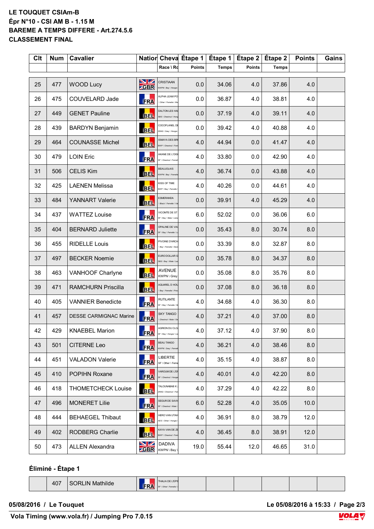#### **LE TOUQUET CSIAm-B Épr N°10 - CSI AM B - 1.15 M BAREME A TEMPS DIFFERE - Art.274.5.6 CLASSEMENT FINAL**

| <b>Clt</b> | <b>Num</b> | <b>Cavalier</b>               |                   |                                                 | Natior Cheva Étape 1 | Étape 1      | Étape 2       | Étape 2      | <b>Points</b> | Gains |
|------------|------------|-------------------------------|-------------------|-------------------------------------------------|----------------------|--------------|---------------|--------------|---------------|-------|
|            |            |                               |                   | Race \ Rd                                       | <b>Points</b>        | <b>Temps</b> | <b>Points</b> | <b>Temps</b> |               |       |
| 25         | 477        | <b>WOOD Lucy</b>              | VZ<br><b>ZGBR</b> | CRISTIAAN<br>KWPN \ Bay \ Hongre                | 0.0                  | 34.06        | 4.0           | 37.86        | 4.0           |       |
| 26         | 475        | COUVELARD Jade                | <b>FRA</b>        | ALPHA LEAM PO<br>Other \ Femelle \ M            | 0.0                  | 36.87        | 4.0           | 38.81        | 4.0           |       |
| 27         | 449        | <b>GENET Pauline</b>          | BEL.              | DALTON LES HAL<br><b>BS \ Chestnut \ Ho</b>     | 0.0                  | 37.19        | 4.0           | 39.11        | 4.0           |       |
| 28         | 439        | <b>BARDYN Benjamin</b>        | BEL.              | COCOFLANEL DE<br>ZANG \ Grey \ Hongre           | 0.0                  | 39.42        | 4.0           | 40.88        | 4.0           |       |
| 29         | 464        | <b>COUNASSE Michel</b>        | <b>BEL</b>        | <b>ISMAYA DES BRI</b><br>BWP \ Chestnut \ Fer   | 4.0                  | 44.94        | 0.0           | 41.47        | 4.0           |       |
| 30         | 479        | <b>LOIN Eric</b>              | <b>FRA</b>        | AKANE DE L'OISI<br>SF \ Chestnut \ Fem          | 4.0                  | 33.80        | 0.0           | 42.90        | 4.0           |       |
| 31         | 506        | <b>CELIS Kim</b>              | 匪                 | <b>BEAUJOLAIS</b><br>(WPN \ Bay \ Femel         | 4.0                  | 36.74        | 0.0           | 43.88        | 4.0           |       |
| 32         | 425        | <b>LAENEN Melissa</b>         | 匪                 | KISS OF TIME<br>BWP \ Bay \ Femelle             | 4.0                  | 40.26        | 0.0           | 44.61        | 4.0           |       |
| 33         | 484        | YANNART Valerie               | <b>BEL</b>        | <b>SMERANDA</b><br>Black \ Femelle \ Va         | 0.0                  | 39.91        | 4.0           | 45.29        | 4.0           |       |
| 34         | 437        | <b>WATTEZ Louise</b>          | <b>FRA</b>        | /ICOMTE DE ST<br><b>SF \ Bay \ Male \ Liste</b> | 6.0                  | 52.02        | 0.0           | 36.06        | 6.0           |       |
| 35         | 404        | <b>BERNARD Juliette</b>       | <b>ERA</b>        | OPALINE DE VAI<br>SF \ Bay \ Femelle \ L        | 0.0                  | 35.43        | 8.0           | 30.74        | 8.0           |       |
| 36         | 455        | <b>RIDELLE Louis</b>          | <b>BEL</b>        | PIVOINE D'ARCH<br>Bay \ Femelle \ Dav           | 0.0                  | 33.39        | 8.0           | 32.87        | 8.0           |       |
| 37         | 497        | <b>BECKER Noemie</b>          | <b>BEL</b>        | EURO DOLLAR G<br>SBS \ Bay \ Male \ Let         | 0.0                  | 35.78        | 8.0           | 34.37        | 8.0           |       |
| 38         | 463        | VANHOOF Charlyne              | <b>BEL</b>        | <b>AVENUE</b><br>KWPN \ Grey                    | 0.0                  | 35.08        | 8.0           | 35.76        | 8.0           |       |
| 39         | 471        | <b>RAMCHURN Priscilla</b>     | <b>BEL</b>        | <b>AQUAREL D HOL</b><br>Bay \ Femelle \ Pris    | 0.0                  | 37.08        | 8.0           | 36.18        | 8.0           |       |
| 40         | 405        | <b>VANNIER Benedicte</b>      | <b>FRA</b>        | RUTILANTE<br>SF \ Bay \ Femelle \ B             | 4.0                  | 34.68        | 4.0           | 36.30        | 8.0           |       |
| 41         | 457        | <b>DESSE CARMIGNAC Marine</b> | <b>FRA</b>        | <b>SKY TANGO</b><br>Chestnut \ Male \ De        | 4.0                  | 37.21        | 4.0           | 37.00        | 8.0           |       |
| 42         | 429        | <b>KNAEBEL Marion</b>         | <b>FRA</b>        | AGRION DU CLO<br>SF \ Bay \ Hongre \ Lis        | 4.0                  | 37.12        | 4.0           | 37.90        | 8.0           |       |
| 43         | 501        | <b>CITERNE Leo</b>            | <b>FRA</b>        | <b>BEAU TANGO</b><br>KWPN \ Grey \ Feme         | 4.0                  | 36.21        | 4.0           | 38.46        | 8.0           |       |
| 44         | 451        | <b>VALADON Valerie</b>        | <b>FRA</b>        | LIBERTIE<br>SF \ Other \ Feme                   | 4.0                  | 35.15        | 4.0           | 38.87        | 8.0           |       |
| 45         | 410        | POPIHN Roxane                 | <b>FRA</b>        | VAROUM DE L'EF<br>SF \ Chestnut \ Hongre        | 4.0                  | 40.01        | 4.0           | 42.20        | 8.0           |       |
| 46         | 418        | <b>THOMETCHECK Louise</b>     | <b>BEL</b>        | TALOUNABAB K.<br>ZANG \ Chestnut \ Fe           | 4.0                  | 37.29        | 4.0           | 42.22        | 8.0           |       |
| 47         | 496        | <b>MONERET Lilie</b>          | <b>FRA</b>        | SEGUR DE SAVIO<br><b>SF \ Chestnut \ Male</b>   | 6.0                  | 52.28        | 4.0           | 35.05        | 10.0          |       |
| 48         | 444        | <b>BEHAEGEL Thibaut</b>       | <b>BEL</b>        | HERO VAN UTAH<br>AES \ Other \ Hongre           | 4.0                  | 36.91        | 8.0           | 38.79        | 12.0          |       |
| 49         | 402        | RODBERG Charlie               | <b>BEL</b>        | KAYA VAN DE ZE<br>BWP \ Chestnut \ Fen          | 4.0                  | 36.45        | 8.0           | 38.91        | 12.0          |       |
| 50         | 473        | <b>ALLEN Alexandra</b>        | NZ<br><b>ZGBR</b> | <b>DADIVA</b><br>KWPN \ Bay \                   | 19.0                 | 55.44        | 12.0          | 46.65        | 31.0          |       |

### **Éliminé - Étape 1**

407 SORLIN Mathilde **FRA** 

THALIA DE L'EF F \ Other \ Femel

**05/08/2016 / Le Touquet Le 05/08/2016 à 15:33 / Page 2/3**